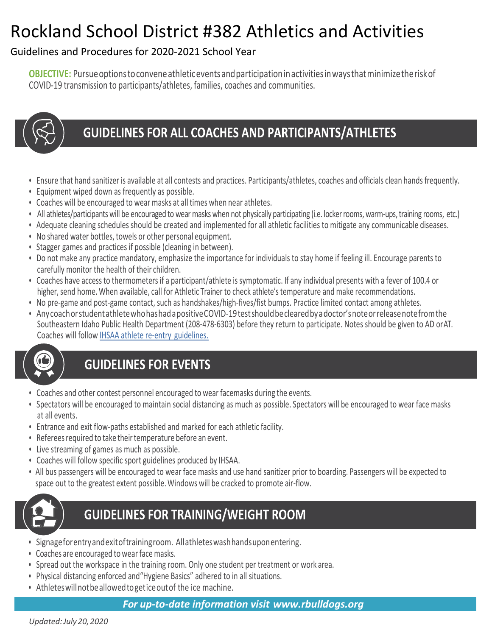# Rockland School District #382 Athletics and Activities

#### Guidelines and Procedures for 2020-2021 School Year

**OBJECTIVE:** Pursueoptionstoconveneathleticeventsandparticipationinactivitiesinwaysthatminimizetheriskof COVID-19 transmission to participants/athletes, families, coaches and communities.



### GUIDELINES FOR ALL COACHES AND PARTICIPANTS/ATHLETES

- Ensure that hand sanitizer is available at all contests and practices. Participants/athletes, coaches and officials clean hands frequently.
- Equipment wiped down as frequently as possible.
- Coaches will be encouraged to wear masks at all times when near athletes.
- All athletes/participants will be encouraged to wear masks when not physically participating (i.e. locker rooms, warm-ups, training rooms, etc.)
- Adequate cleaning schedules should be created and implemented for all athletic facilities to mitigate any communicable diseases.
- No shared water bottles, towels or other personal equipment.
- Stagger games and practices if possible (cleaning in between).
- Do not make any practice mandatory, emphasize the importance for individuals to stay home if feeling ill. Encourage parents to carefully monitor the health of their children.
- Coaches have access to thermometers if a participant/athlete is symptomatic. If any individual presents with a fever of 100.4 or higher, send home. When available, call for Athletic Trainer to check athlete's temperature and make recommendations.
- No pre-game and post-game contact, such as handshakes/high-fives/fist bumps. Practice limited contact among athletes.
- AnycoachorstudentathletewhohashadapositiveCOVID-19testshouldbeclearedbyadoctor'snoteorreleasenotefromthe Southeastern Idaho Public Health Department (208-478-6303) before they return to participate. Notes should be given to AD orAT. Coaches will follo[w IHSAA athlete re-entry](https://idhsaa.org/asset/HOME%20PAGE/COVID%20-%20IHSAA%20Return%20to%20Sports%20Recommendations.pdf) guidelines.



## **GUIDELINES FOR EVENTS**

- Coaches and other contest personnel encouraged to wear facemasks during the events.
- Spectators will be encouraged to maintain social distancing as much as possible. Spectators will be encouraged to wear face masks at all events.
- Entrance and exit flow-paths established and marked for each athletic facility.
- Referees required to take their temperature before an event.
- Live streaming of games as much as possible.
- Coaches will follow specific sport guidelines produced by IHSAA.
- All bus passengers will be encouraged to wear face masks and use hand sanitizer prior to boarding. Passengers will be expected to space out to the greatest extent possible.Windows will be cracked to promote air-flow.



### **GUIDELINES FOR TRAINING/WEIGHT ROOM**

- Signageforentryandexitoftrainingroom. Allathleteswashhandsuponentering.
- Coaches are encouraged to wear face masks.
- Spread out the workspace in the training room. Only one student per treatment or work area.
- Physical distancing enforced and"Hygiene Basics" adhered to in all situations.
- Athleteswillnotbeallowedtogeticeoutof the ice machine.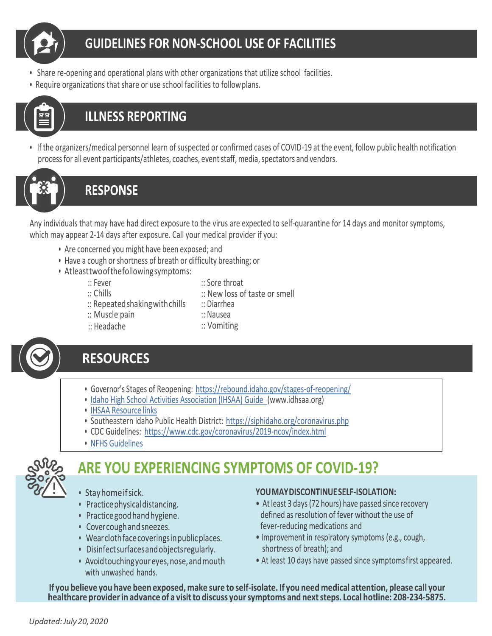

- Share re-opening and operational plans with other organizations that utilize school facilities.
- Require organizations that share or use school facilities to followplans.



#### **ILLNESS REPORTING**

• If the organizers/medical personnel learn of suspected or confirmed cases of COVID-19 at the event, follow public health notification process for all event participants/athletes, coaches, event staff, media, spectators and vendors.



#### **RESPONSE**

Any individuals that may have had direct exposure to the virus are expected to self-quarantine for 14 days and monitor symptoms, which may appear 2-14 days after exposure. Call your medical provider if you:

- Are concerned you might have been exposed; and
- Have a cough or shortness of breath or difficulty breathing; or
- Atleasttwoofthefollowingsymptoms:
	- :: Fever :: Chills
- :: Sore throat
- :: New loss of taste or smell :: Diarrhea
- :: Repeatedshakingwithchills
	- :: Nausea
- :: Muscle pain :: Headache
- :: Vomiting



#### **RESOURCES**

- Governor's Stages of Reopening: https://rebound.idaho.gov/stages-of-reopening/
- [Idaho High School Activities Association \(IHSAA\) Guide](https://idhsaa.org/asset/HOME%20PAGE/IHSAA%20Fall%20Sport%20COVID%20Guidelines.pdf) (www.idhsaa.org)
- [IHSAA Resource](https://idhsaa.org/asset/HOME%20PAGE/COVID-19%20Resource%20Links.pdf) links
- Southeastern Idaho Public Health District: <https://siphidaho.org/coronavirus.php>
- CDC Guidelines: [https://ww](http://www.cdc.gov/coronavirus/2019-ncov/index.html)w.cd[c.gov/coronavirus/2019-ncov/index.html](http://www.cdc.gov/coronavirus/2019-ncov/index.html)
- NFHS [Guidelines](https://idhsaa.org/asset/HOME%20PAGE/2020%20NFHS%20Guidance%20for%20Opening%20up%20High%20School%20Athletics%20and%20Activities-NFHS%20SMAC-May%2015%2C%202020%20-%20FINAL.pdf)



### **ARE YOU EXPERIENCING SYMPTOMS OF COVID-19?**

- · Stayhome if sick.
- Practice physical distancing.
- Practice good hand hygiene.
- Cover cough and sneezes.
- Wear cloth face coverings in public places.
- Disinfect surfaces and objects regularly.
- Avoid touching your eyes, nose, and mouth with unwashed hands.

#### YOU MAY DISCONTINUE SELF-ISOLATION:

- At least 3 days (72 hours) have passed since recovery defined as resolution of fever without the use of fever-reducing medications and
- Improvement in respiratory symptoms (e.g., cough, shortness of breath); and
- At least 10 days have passed since symptoms first appeared.

If you believe you have been exposed, make sure to self-isolate. If you need medical attention, please call your healthcare provider in advance of a visit to discuss your symptoms and next steps. Local hotline: 208-234-5875.